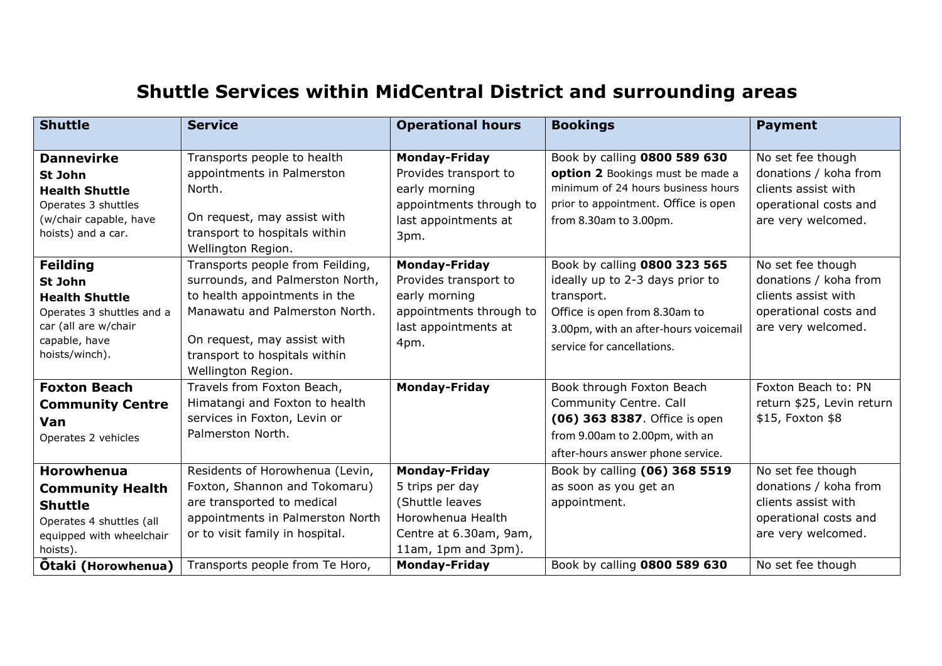## **Shuttle Services within MidCentral District and surrounding areas**

| <b>Shuttle</b>                                                                                                                                           | <b>Service</b>                                                                                                                                                                                                                | <b>Operational hours</b>                                                                                                                                 | <b>Bookings</b>                                                                                                                                                                       | <b>Payment</b>                                                                                                                        |
|----------------------------------------------------------------------------------------------------------------------------------------------------------|-------------------------------------------------------------------------------------------------------------------------------------------------------------------------------------------------------------------------------|----------------------------------------------------------------------------------------------------------------------------------------------------------|---------------------------------------------------------------------------------------------------------------------------------------------------------------------------------------|---------------------------------------------------------------------------------------------------------------------------------------|
| <b>Dannevirke</b><br>St John<br><b>Health Shuttle</b><br>Operates 3 shuttles<br>(w/chair capable, have<br>hoists) and a car.                             | Transports people to health<br>appointments in Palmerston<br>North.<br>On request, may assist with<br>transport to hospitals within<br>Wellington Region.                                                                     | <b>Monday-Friday</b><br>Provides transport to<br>early morning<br>appointments through to<br>last appointments at<br>3pm.                                | Book by calling 0800 589 630<br>option 2 Bookings must be made a<br>minimum of 24 hours business hours<br>prior to appointment. Office is open<br>from 8.30am to 3.00pm.              | No set fee though<br>donations / koha from<br>clients assist with<br>operational costs and<br>are very welcomed.                      |
| <b>Feilding</b><br>St John<br><b>Health Shuttle</b><br>Operates 3 shuttles and a<br>car (all are w/chair<br>capable, have<br>hoists/winch).              | Transports people from Feilding,<br>surrounds, and Palmerston North,<br>to health appointments in the<br>Manawatu and Palmerston North.<br>On request, may assist with<br>transport to hospitals within<br>Wellington Region. | <b>Monday-Friday</b><br>Provides transport to<br>early morning<br>appointments through to<br>last appointments at<br>4pm.                                | Book by calling 0800 323 565<br>ideally up to 2-3 days prior to<br>transport.<br>Office is open from 8.30am to<br>3.00pm, with an after-hours voicemail<br>service for cancellations. | No set fee though<br>donations / koha from<br>clients assist with<br>operational costs and<br>are very welcomed.                      |
| <b>Foxton Beach</b><br><b>Community Centre</b><br>Van<br>Operates 2 vehicles                                                                             | Travels from Foxton Beach,<br>Himatangi and Foxton to health<br>services in Foxton, Levin or<br>Palmerston North.                                                                                                             | <b>Monday-Friday</b>                                                                                                                                     | Book through Foxton Beach<br>Community Centre. Call<br>(06) 363 8387. Office is open<br>from 9.00am to 2.00pm, with an<br>after-hours answer phone service.                           | Foxton Beach to: PN<br>return \$25, Levin return<br>\$15, Foxton \$8                                                                  |
| <b>Horowhenua</b><br><b>Community Health</b><br><b>Shuttle</b><br>Operates 4 shuttles (all<br>equipped with wheelchair<br>hoists).<br>Ōtaki (Horowhenua) | Residents of Horowhenua (Levin,<br>Foxton, Shannon and Tokomaru)<br>are transported to medical<br>appointments in Palmerston North<br>or to visit family in hospital.<br>Transports people from Te Horo,                      | <b>Monday-Friday</b><br>5 trips per day<br>(Shuttle leaves<br>Horowhenua Health<br>Centre at 6.30am, 9am,<br>11am, 1pm and 3pm).<br><b>Monday-Friday</b> | Book by calling (06) 368 5519<br>as soon as you get an<br>appointment.<br>Book by calling 0800 589 630                                                                                | No set fee though<br>donations / koha from<br>clients assist with<br>operational costs and<br>are very welcomed.<br>No set fee though |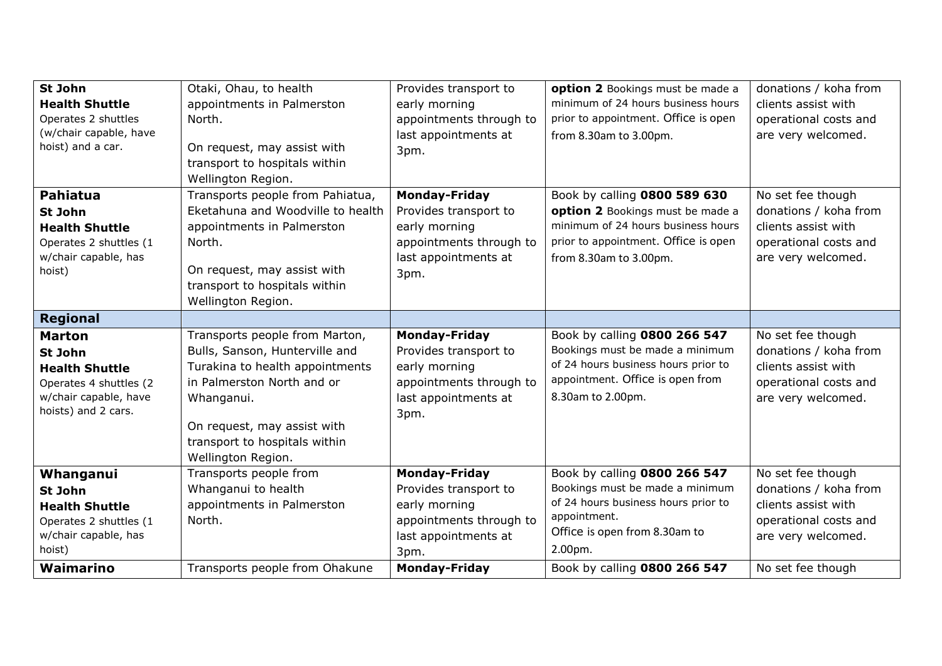| St John                | Otaki, Ohau, to health            | Provides transport to   | option 2 Bookings must be made a     | donations / koha from |
|------------------------|-----------------------------------|-------------------------|--------------------------------------|-----------------------|
| <b>Health Shuttle</b>  | appointments in Palmerston        | early morning           | minimum of 24 hours business hours   | clients assist with   |
| Operates 2 shuttles    | North.                            | appointments through to | prior to appointment. Office is open | operational costs and |
| (w/chair capable, have |                                   | last appointments at    | from 8.30am to 3.00pm.               | are very welcomed.    |
| hoist) and a car.      | On request, may assist with       | 3pm.                    |                                      |                       |
|                        | transport to hospitals within     |                         |                                      |                       |
|                        | Wellington Region.                |                         |                                      |                       |
| <b>Pahiatua</b>        | Transports people from Pahiatua,  | <b>Monday-Friday</b>    | Book by calling 0800 589 630         | No set fee though     |
| St John                | Eketahuna and Woodville to health | Provides transport to   | option 2 Bookings must be made a     | donations / koha from |
| <b>Health Shuttle</b>  | appointments in Palmerston        | early morning           | minimum of 24 hours business hours   | clients assist with   |
| Operates 2 shuttles (1 | North.                            | appointments through to | prior to appointment. Office is open | operational costs and |
| w/chair capable, has   |                                   | last appointments at    | from 8.30am to 3.00pm.               | are very welcomed.    |
| hoist)                 | On request, may assist with       | 3pm.                    |                                      |                       |
|                        | transport to hospitals within     |                         |                                      |                       |
|                        | Wellington Region.                |                         |                                      |                       |
| <b>Regional</b>        |                                   |                         |                                      |                       |
| <b>Marton</b>          | Transports people from Marton,    | <b>Monday-Friday</b>    | Book by calling 0800 266 547         | No set fee though     |
| St John                | Bulls, Sanson, Hunterville and    | Provides transport to   | Bookings must be made a minimum      | donations / koha from |
| <b>Health Shuttle</b>  | Turakina to health appointments   | early morning           | of 24 hours business hours prior to  | clients assist with   |
| Operates 4 shuttles (2 | in Palmerston North and or        | appointments through to | appointment. Office is open from     | operational costs and |
| w/chair capable, have  | Whanganui.                        | last appointments at    | 8.30am to 2.00pm.                    | are very welcomed.    |
| hoists) and 2 cars.    |                                   | 3pm.                    |                                      |                       |
|                        | On request, may assist with       |                         |                                      |                       |
|                        | transport to hospitals within     |                         |                                      |                       |
|                        | Wellington Region.                |                         |                                      |                       |
| Whanganui              | Transports people from            | <b>Monday-Friday</b>    | Book by calling 0800 266 547         | No set fee though     |
| St John                | Whanganui to health               | Provides transport to   | Bookings must be made a minimum      | donations / koha from |
| <b>Health Shuttle</b>  | appointments in Palmerston        | early morning           | of 24 hours business hours prior to  | clients assist with   |
| Operates 2 shuttles (1 | North.                            | appointments through to | appointment.                         | operational costs and |
| w/chair capable, has   |                                   | last appointments at    | Office is open from 8.30am to        | are very welcomed.    |
| hoist)                 |                                   | 3pm.                    | 2.00pm.                              |                       |
| Waimarino              | Transports people from Ohakune    | <b>Monday-Friday</b>    | Book by calling 0800 266 547         |                       |